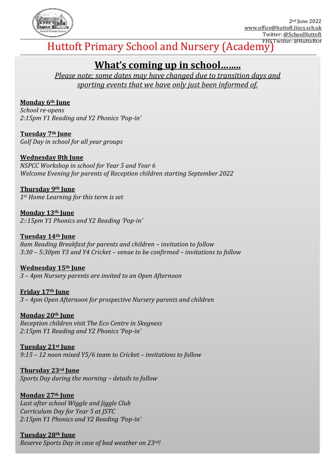

# Huttoft Primary School and Nursery (Academy)

# **What's coming up in school……..**

*Please note; some dates may have changed due to transition days and sporting events that we have only just been informed of.*

## **Monday 6th June**

*School re-opens 2:15pm Y1 Reading and Y2 Phonics 'Pop-in'*

**Tuesday 7th June** *Golf Day in school for all year groups*

## **Wednesday 8th June**

*NSPCC Workshop in school for Year 5 and Year 6 Welcome Evening for parents of Reception children starting September 2022* 

**Thursday 9th June** *1st Home Learning for this term is set*

**Monday 13th June** *2::15pm Y1 Phonics and Y2 Reading 'Pop-in'*

#### **Tuesday 14th June** *8am Reading Breakfast for parents and children – invitation to follow 3:30 – 5:30pm Y3 and Y4 Cricket – venue to be confirmed – invitations to follow*

**Wednesday 15th June** *3 – 4pm Nursery parents are invited to an Open Afternoon*

**Friday 17th June** *3 – 4pm Open Afternoon for prospective Nursery parents and children*

## **Monday 20th June**

*Reception children visit The Eco Centre in Skegness 2:15pm Y1 Reading and Y2 Phonics 'Pop-in'*

# **Tuesday 21st June**

*9:15 – 12 noon mixed Y5/6 team to Cricket – invitations to follow*

**Thursday 23rd June** *Sports Day during the morning – details to follow*

# **Monday 27th June**

*Last after school Wiggle and Jiggle Club Curriculum Day for Year 5 at JSTC 2:15pm Y1 Phonics and Y2 Reading 'Pop-in'*

# **Tuesday 28th June**

*Reserve Sports Day in case of bad weather on 23rd!*